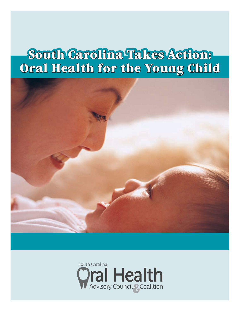# **South Carolina Takes Action: Oral Health for the Young Child**



![](_page_0_Picture_2.jpeg)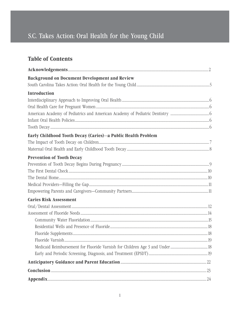## **Table of Contents**

| <b>Background on Document Development and Review</b>         |  |
|--------------------------------------------------------------|--|
|                                                              |  |
| <b>Introduction</b>                                          |  |
|                                                              |  |
|                                                              |  |
|                                                              |  |
|                                                              |  |
|                                                              |  |
| Early Childhood Tooth Decay (Caries)-a Public Health Problem |  |
|                                                              |  |
|                                                              |  |
| <b>Prevention of Tooth Decay</b>                             |  |
|                                                              |  |
|                                                              |  |
|                                                              |  |
|                                                              |  |
|                                                              |  |
| <b>Caries Risk Assessment</b>                                |  |
|                                                              |  |
|                                                              |  |
|                                                              |  |
|                                                              |  |
|                                                              |  |
|                                                              |  |
|                                                              |  |
|                                                              |  |
|                                                              |  |
|                                                              |  |
| ${\bf Appendix 24}$                                          |  |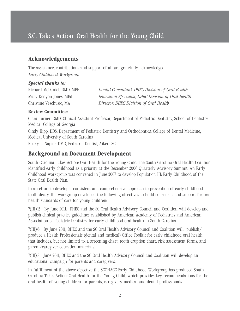### **Acknowledgements**

The assistance, contributions and support of all are gratefully acknowledged. *Early Childhood Workgroup*

#### *Special thanks to:*

Richard McDaniel, DMD, MPH *Dental Consultant, DHEC Division of Oral Health*  Mary Kenyon Jones, MEd *Education Specialist, DHEC Division of Oral Health*  Christine Veschusio, MA *Director, DHEC Division of Oral Health* 

#### **Review Committee:**

Clara Turner, DMD, Clinical Assistant Professor, Department of Pediatric Dentistry, School of Dentistry Medical College of Georgia

Cindy Hipp, DDS, Department of Pediatric Dentistry and Orthodontics, College of Dental Medicine, Medical University of South Carolina Rocky L. Napier, DMD, Pediatric Dentist, Aiken, SC

### **Background on Document Development**

South Carolina Takes Action: Oral Health for the Young Child The South Carolina Oral Health Coalition identified early childhood as a priority at the December 2006 Quarterly Advisory Summit. An Early Childhood workgroup was convened in June 2007 to develop Population III: Early Childhood of the State Oral Health Plan.

In an effort to develop a consistent and comprehensive approach to prevention of early childhood tooth decay, the workgroup developed the following objectives to build consensus and support for oral health standards of care for young children:

7(III).15 By June 2011, DHEC and the SC Oral Health Advisory Council and Coalition will develop and publish clinical practice guidelines established by American Academy of Pediatrics and American Association of Pediatric Dentistry for early childhood oral health in South Carolina

7(III).6 By June 2011, DHEC and the SC Oral Health Advisory Council and Coalition will publish/ produce a Health Professionals (dental and medical) Office Toolkit for early childhood oral health that includes, but not limited to, a screening chart, tooth eruption chart, risk assessment forms, and parent/caregiver education materials.

7(III).8 June 2011, DHEC and the SC Oral Health Advisory Council and Coalition will develop an educational campaign for parents and caregivers.

In fulfillment of the above objective the SCOHACC Early Childhood Workgroup has produced South Carolina Takes Action: Oral Health for the Young Child, which provides key recommendations for the oral health of young children for parents, caregivers, medical and dental professionals.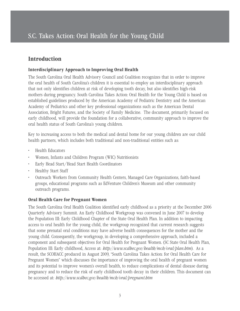### **Introduction**

#### **Interdisciplinary Approach to Improving Oral Health**

The South Carolina Oral Health Advisory Council and Coalition recognizes that in order to improve the oral health of South Carolina's children it is essential to employ an interdisciplinary approach that not only identifies children at risk of developing tooth decay, but also identifies high-risk mothers during pregnancy. South Carolina Takes Action: Oral Health for the Young Child is based on established guidelines produced by the American Academy of Pediatric Dentistry and the American Academy of Pediatrics and other key professional organizations such as the American Dental Association, Bright Futures, and the Society of Family Medicine. The document, primarily focused on early childhood, will provide the foundation for a collaborative, community approach to improve the oral health status of South Carolina's young children.

Key to increasing access to both the medical and dental home for our young children are our child health partners, which includes both traditional and non-traditional entities such as:

- Health Educators
- Women, Infants and Children Program (WIC) Nutritionists
- Early Head Start/Head Start Health Coordinators
- Healthy Start Staff
- Outreach Workers from Community Health Centers, Managed Care Organizations, faith-based groups, educational programs such as EdVenture Children's Museum and other community outreach programs.

#### **Oral Health Care for Pregnant Women**

The South Carolina Oral Health Coalition identified early childhood as a priority at the December 2006 Quarterly Advisory Summit. An Early Childhood Workgroup was convened in June 2007 to develop the Population III: Early Childhood Chapter of the State Oral Health Plan. In addition to impacting access to oral health for the young child, the workgroup recognized that current research suggests that some prenatal oral conditions may have adverse health consequences for the mother and the young child. Consequently, the workgroup, in developing a comprehensive approach, included a component and subsequent objectives for Oral Health for Pregnant Women. (SC State Oral Health Plan, Population III: Early childhood, Access at: *http://www.scdhec.gov/health/mch/oral/plan.htm*). As a result, the SCOHACC produced in August 2009, "South Carolina Takes Action: for Oral Health Care for Pregnant Women" which discusses the importance of improving the oral health of pregnant women and its potential to improve women's overall health, to reduce complications of dental disease during pregnancy and to reduce the risk of early childhood tooth decay in their children. This document can be accessed at: *http://www.scdhec.gov/health/mch/oral/pregnant.htm*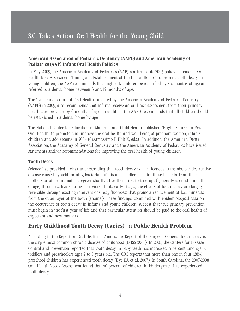#### **American Association of Pediatric Dentistry (AAPD) and American Academy of Pediatrics (AAP) Infant Oral Health Policies**

In May 2009, the American Academy of Pediatrics (AAP) reaffirmed its 2003 policy statement: "Oral Health Risk Assessment Timing and Establishment of the Dental Home." To prevent tooth decay in young children, the AAP recommends that high-risk children be identified by six months of age and referred to a dental home between 6 and 12 months of age.

The "Guideline on Infant Oral Health", updated by the American Academy of Pediatric Dentistry (AAPD) in 2009, also recommends that infants receive an oral risk assessment from their primary health care provider by 6 months of age. In addition, the AAPD recommends that all children should be established in a dental home by age 1.

The National Center for Education in Maternal and Child Health published "Bright Futures in Practice: Oral Health" to promote and improve the oral health and well-being of pregnant women, infants, children and adolescents in 2004 (Casamassimo P, Holt K, eds.). In addition, the American Dental Association, the Academy of General Dentistry and the American Academy of Pediatrics have issued statements and/or recommendations for improving the oral health of young children.

#### **Tooth Decay**

Science has provided a clear understanding that tooth decay is an infectious, transmissible, destructive disease caused by acid-forming bacteria. Infants and toddlers acquire these bacteria from their mothers or other intimate caregiver shortly after their first teeth erupt (generally around 6 months of age) through saliva-sharing behaviors. In its early stages, the effects of tooth decay are largely reversible through existing interventions (e.g., fluorides) that promote replacement of lost minerals from the outer layer of the tooth (enamel). These findings, combined with epidemiological data on the occurrence of tooth decay in infants and young children, suggest that true primary prevention must begin in the first year of life and that particular attention should be paid to the oral health of expectant and new mothers.

### **Early Childhood Tooth Decay (Caries)—a Public Health Problem**

According to the Report on Oral Health in America: A Report of the Surgeon General, tooth decay is the single most common chronic disease of childhood (DHSS 2000). In 2007, the Centers for Disease Control and Prevention reported that tooth decay in baby teeth has increased 15 percent among U.S. toddlers and preschoolers ages 2 to 5 years old. The CDC reports that more than one in four (28%) preschool children has experienced tooth decay (Dye BA et al, 2007.). In South Carolina, the 2007-2008 Oral Health Needs Assessment found that 40 percent of children in kindergarten had experienced tooth decay.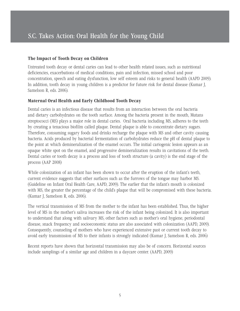#### **The Impact of Tooth Decay on Children**

Untreated tooth decay or dental caries can lead to other health related issues, such as nutritional deficiencies, exacerbations of medical conditions, pain and infection, missed school and poor concentration, speech and eating dysfunction, low self esteem and risks to general health (AAPD 2009). In addition, tooth decay in young children is a predictor for future risk for dental disease (Kumar J, Samelson R, eds. 2006).

#### **Maternal Oral Health and Early Childhood Tooth Decay**

Dental caries is an infectious disease that results from an interaction between the oral bacteria and dietary carbohydrates on the tooth surface. Among the bacteria present in the mouth, Mutans streptococci (MS) plays a major role in dental caries. Oral bacteria including MS, adheres to the teeth by creating a tenacious biofilm called plaque. Dental plaque is able to concentrate dietary sugars. Therefore, consuming sugary foods and drinks recharge the plaque with MS and other cavity causing bacteria. Acids produced by bacterial fermentation of carbohydrates reduce the pH of dental plaque to the point at which demineralization of the enamel occurs. The initial cariogenic lesion appears as an opaque white spot on the enamel, and progressive demineralization results in cavitations of the teeth. Dental caries or tooth decay is a process and loss of tooth structure (a cavity) is the end stage of the process (AAP 2008)

While colonization of an infant has been shown to occur after the eruption of the infant's teeth, current evidence suggests that other surfaces such as the furrows of the tongue may harbor MS. (Guideline on Infant Oral Health Care, AAPD, 2009). The earlier that the infant's mouth is colonized with MS, the greater the percentage of the child's plaque that will be compromised with these bacteria. (Kumar J, Samelson R, eds. 2006).

The vertical transmission of MS from the mother to the infant has been established. Thus, the higher level of MS in the mother's saliva increases the risk of the infant being colonized. It is also important to understand that along with salivary MS, other factors such as mother's oral hygiene, periodontal disease, snack frequency and socioeconomic status are also associated with colonization (AAPD, 2009). Consequently, counseling of mothers who have experienced extensive past or current tooth decay to avoid early transmission of MS to their infants is strongly indicated (Kumar J, Samelson R, eds. 2006)

Recent reports have shown that horizontal transmission may also be of concern. Horizontal sources include samplings of a similar age and children in a daycare center. (AAPD, 2009)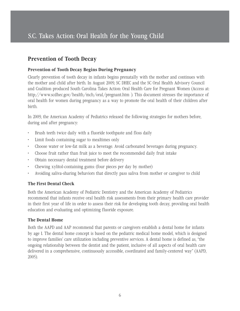### **Prevention of Tooth Decay**

#### **Prevention of Tooth Decay Begins During Pregnancy**

Clearly prevention of tooth decay in infants begins prenatally with the mother and continues with the mother and child after birth. In August 2009, SC DHEC and the SC Oral Health Advisory Council and Coalition produced South Carolina Takes Action: Oral Health Care for Pregnant Women (Access at: http://www.scdhec.gov/health/mch/oral/pregnant.htm ). This document stresses the importance of oral health for women during pregnancy as a way to promote the oral health of their children after birth.

In 2009, the American Academy of Pediatrics released the following strategies for mothers before, during and after pregnancy:

- Brush teeth twice daily with a fluoride toothpaste and floss daily
- Limit foods containing sugar to mealtimes only
- Choose water or low-fat milk as a beverage. Avoid carbonated beverages during pregnancy.
- Choose fruit rather than fruit juice to meet the recommended daily fruit intake
- Obtain necessary dental treatment before delivery
- Chewing xylitol-containing gums: (four pieces per day by mother)
- Avoiding saliva-sharing behaviors that directly pass saliva from mother or caregiver to child

#### **The First Dental Check**

Both the American Academy of Pediatric Dentistry and the American Academy of Pediatrics recommend that infants receive oral health risk assessments from their primary health care provider in their first year of life in order to assess their risk for developing tooth decay, providing oral health education and evaluating and optimizing fluoride exposure.

#### **The Dental Home**

Both the AAPD and AAP recommend that parents or caregivers establish a dental home for infants by age 1. The dental home concept is based on the pediatric medical home model, which is designed to improve families' care utilization including preventive services. A dental home is defined as, "the ongoing relationship between the dentist and the patient, inclusive of all aspects of oral health care delivered in a comprehensive, continuously accessible, coordinated and family-centered way" (AAPD, 2005).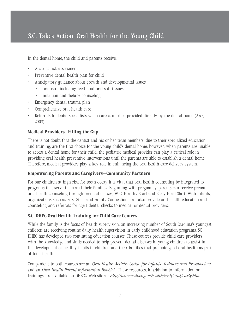In the dental home, the child and parents receive:

- A caries risk assessment
- Preventive dental health plan for child
- Anticipatory guidance about growth and developmental issues
	- oral care including teeth and oral soft tissues
	- nutrition and dietary counseling
- Emergency dental trauma plan
- Comprehensive oral health care
- Referrals to dental specialists when care cannot be provided directly by the dental home (AAP, 2008)

#### **Medical Providers—Filling the Gap**

There is not doubt that the dentist and his or her team members, due to their specialized education and training, are the first choice for the young child's dental home; however, when parents are unable to access a dental home for their child, the pediatric medical provider can play a critical role in providing oral health preventive interventions until the parents are able to establish a dental home. Therefore, medical providers play a key role in enhancing the oral health care delivery system.

#### **Empowering Parents and Caregivers—Community Partners**

For our children at high risk for tooth decay it is vital that oral health counseling be integrated to programs that serve them and their families. Beginning with pregnancy, parents can receive prenatal oral health counseling through prenatal classes, WIC, Healthy Start and Early Head Start. With infants, organizations such as First Steps and Family Connections can also provide oral health education and counseling and referrals for age 1 dental checks to medical or dental providers.

#### **S.C. DHEC Oral Health Training for Child Care Centers**

While the family is the focus of health supervision, an increasing number of South Carolina's youngest children are receiving routine daily health supervision in early childhood education programs. SC DHEC has developed two continuing education courses. These courses provide child care providers with the knowledge and skills needed to help prevent dental diseases in young children to assist in the development of healthy habits in children and their families that promote good oral health as part of total health.

Companions to both courses are an *Oral Health Activity Guide for Infants, Toddlers and Preschoolers* and an *Oral Health Parent Information Booklet*. These resources, in addition to information on trainings, are available on DHEC's Web site at: *http://www.scdhec.gov/health/mch/oral/early.htm*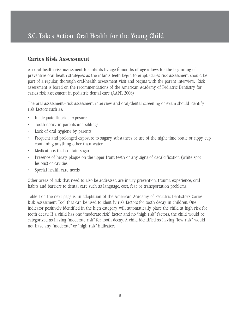### **Caries Risk Assessment**

An oral health risk assessment for infants by age 6 months of age allows for the beginning of preventive oral health strategies as the infants teeth begin to erupt. Caries risk assessment should be part of a regular, thorough oral-health assessment visit and begins with the parent interview. Risk assessment is based on the recommendations of the American Academy of Pediatric Dentistry for caries risk assessment in pediatric dental care (AAPD, 2006).

The oral assessment--risk assessment interview and oral/dental screening or exam should identify risk factors such as:

- Inadequate fluoride exposure
- Tooth decay in parents and siblings
- Lack of oral hygiene by parents
- Frequent and prolonged exposure to sugary substances or use of the night time bottle or sippy cup containing anything other than water
- Medications that contain sugar
- Presence of heavy plaque on the upper front teeth or any signs of decalcification (white spot lesions) or cavities.
- Special health care needs

Other areas of risk that need to also be addressed are injury prevention, trauma experience, oral habits and barriers to dental care such as language, cost, fear or transportation problems.

Table 1 on the next page is an adaptation of the American Academy of Pediatric Dentistry's Caries Risk Assessment Tool that can be used to identify risk factors for tooth decay in children. One indicator positively identified in the high category will automatically place the child at high risk for tooth decay. If a child has one "moderate risk" factor and no "high risk" factors, the child would be categorized as having "moderate risk" for tooth decay. A child identified as having "low risk" would not have any "moderate" or "high risk" indicators.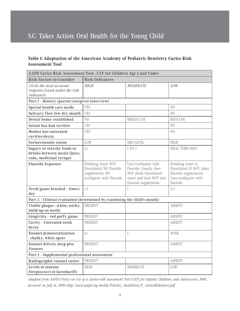#### **Table 1: Adaptation of the American Academy of Pediatric Dentistry Caries Risk Assessment Tool**

| AAPD Caries Risk Assessment Tool-CAT for Children Age 3 and Under                            |                                                                                               |                                                                                                                            |                                                                                                              |  |  |
|----------------------------------------------------------------------------------------------|-----------------------------------------------------------------------------------------------|----------------------------------------------------------------------------------------------------------------------------|--------------------------------------------------------------------------------------------------------------|--|--|
| <b>Risk Factors to Consider</b>                                                              | <b>Risk Indicators</b>                                                                        |                                                                                                                            |                                                                                                              |  |  |
| Circle the most accurate<br>response found under the risk<br>indicators                      | <b>HIGH</b>                                                                                   | <b>MODERATE</b>                                                                                                            | LOW                                                                                                          |  |  |
| Part 1 - History (parent/caregiver interview)                                                |                                                                                               |                                                                                                                            |                                                                                                              |  |  |
| Special health care needs                                                                    | <b>YES</b>                                                                                    |                                                                                                                            | N()                                                                                                          |  |  |
| <b>Salivary flow low-dry mouth</b>                                                           | <b>YES</b>                                                                                    |                                                                                                                            | N <sub>O</sub>                                                                                               |  |  |
| Dental home: established                                                                     | N <sub>O</sub>                                                                                | <b>IRREGULAR</b>                                                                                                           | <b>REGULAR</b>                                                                                               |  |  |
| <b>Infant has had cavities</b>                                                               | <b>YES</b>                                                                                    |                                                                                                                            | N <sub>O</sub>                                                                                               |  |  |
| Mother has untreated<br>cavities/decay                                                       | <b>YES</b>                                                                                    |                                                                                                                            | N <sub>O</sub>                                                                                               |  |  |
| Socioeconomic status                                                                         | LOW                                                                                           | MID-LEVEL                                                                                                                  | <b>HIGH</b>                                                                                                  |  |  |
| <b>Sugary or starchy foods or</b><br>drinks between meals (juice,<br>soda, medicinal syrups) | 3>                                                                                            | 1 TO 2                                                                                                                     | MEAL TIME ONLY                                                                                               |  |  |
| <b>Fluoride Exposure</b>                                                                     | Drinking water NOT<br>fluoridated; NO fluoride<br>supplements; NO<br>toothpaste with fluoride | Uses toothpaste with<br>fluoride; Usually does<br>NOT drink fluoridated<br>water and does NOT take<br>fluoride supplements | Drinking water is<br>fluoridated; If NOT, takes<br>fluoride supplements;<br>Uses toothpaste with<br>fluoride |  |  |
| Teeth/gums brushed - times/<br>day                                                           | $<$ l                                                                                         | $\mathbf{1}$                                                                                                               | $2-3$                                                                                                        |  |  |
| Part 2 - Clinical evaluation (determined by examining the child's mouth)                     |                                                                                               |                                                                                                                            |                                                                                                              |  |  |
| Visible plaque-white, sticky<br>build up on teeth)                                           | <b>PRESENT</b>                                                                                |                                                                                                                            | <b>ABSENT</b>                                                                                                |  |  |
| Gingivitis - red puffy gums                                                                  | <b>PRESENT</b>                                                                                |                                                                                                                            | <b>ABSENT</b>                                                                                                |  |  |
| <b>Cavity - Untreated tooth</b><br>decay                                                     | PRESENT                                                                                       |                                                                                                                            | <b>ABSENT</b>                                                                                                |  |  |
| <b>Enamel demineralization</b><br>-chalky, white spots                                       | $\rightarrow$                                                                                 | $\mathbf 1$                                                                                                                | <b>NONE</b>                                                                                                  |  |  |
| Enamel defects, deep pits/<br><b>fissures</b>                                                | PRESENT                                                                                       |                                                                                                                            | <b>ABSENT</b>                                                                                                |  |  |
| Part 3 - Supplemental professional assessment                                                |                                                                                               |                                                                                                                            |                                                                                                              |  |  |
| Radiographic enamel caries                                                                   | PRESENT                                                                                       |                                                                                                                            | <b>ABSENT</b>                                                                                                |  |  |
| <b>Levels of mutans</b><br>Streptococci or lactobacilli                                      | <b>HIGH</b>                                                                                   | <b>MODERATE</b>                                                                                                            | LOW                                                                                                          |  |  |

*Adapted from AAPD's Policy on Use of a Caries-risk Assessment Tool (CAT) for Infants, Children, and Adolescents, 2006, accessed on July 14, 2009: http://www.aapd.org/media/Policies\_Guidelines/P\_CariesRiskAssess.pdf*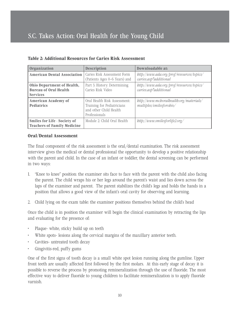| Organization                                                                  | <b>Description</b>                                                                                    | Downloadable at:                                                    |
|-------------------------------------------------------------------------------|-------------------------------------------------------------------------------------------------------|---------------------------------------------------------------------|
| <b>American Dental Association</b>                                            | Caries Risk Assessment Form<br>(Patients Ages 0–6 Years) and                                          | http://www.ada.org/prof/resources/topics/<br>caries.asp#additional  |
| Ohio Department of Health,<br><b>Bureau of Oral Health</b><br><b>Services</b> | Part 3: History: Determining<br>Caries Risk Video                                                     | http://www.ada.org/prof/resources/topics/<br>caries.asp#additional  |
| <b>American Academy of</b><br><b>Pediatrics</b>                               | Oral Health Risk Assessment:<br>Training for Pediatricians<br>and other Child Health<br>Professionals | http://www.mchoralhealth.org/materials/<br>multiples/smilesforobio/ |
| <b>Smiles for Life - Society of</b><br><b>Teachers of Family Medicine</b>     | Module 2: Child Oral Health                                                                           | http://www.smilesforlife2.org/                                      |

#### **Table 2: Additional Resources for Caries Risk Assessment**

#### **Oral/Dental Assessment**

The final component of the risk assessment is the oral/dental examination. The risk assessment interview gives the medical or dental professional the opportunity to develop a positive relationship with the parent and child. In the case of an infant or toddler, the dental screening can be performed in two ways:

- 1. "Knee to knee" position: the examiner sits face to face with the parent with the child also facing the parent. The child wraps his or her legs around the parent's waist and lies down across the laps of the examiner and parent. The parent stabilizes the child's legs and holds the hands in a position that allows a good view of the infant's oral cavity for observing and learning.
- 2. Child lying on the exam table: the examiner positions themselves behind the child's head

Once the child is in position the examiner will begin the clinical examination by retracting the lips and evaluating for the presence of:

- Plaque- white, sticky build up on teeth
- White spots- lesions along the cervical margins of the maxillary anterior teeth.
- Cavities- untreated tooth decay
- Gingivitis-red, puffy gums

One of the first signs of tooth decay is a small white spot lesion running along the gumline. Upper front teeth are usually affected first followed by the first molars. At this early stage of decay it is possible to reverse the process by promoting remineralization through the use of fluoride. The most effective way to deliver fluoride to young children to facilitate remineralization is to apply fluoride varnish.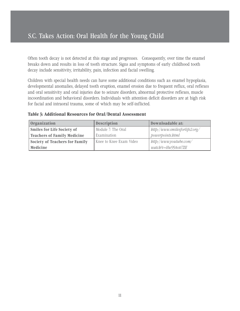Often tooth decay is not detected at this stage and progresses. Consequently, over time the enamel breaks down and results in loss of tooth structure. Signs and symptoms of early childhood tooth decay include sensitivity, irritability, pain, infection and facial swelling.

Children with special health needs can have some additional conditions such as: enamel hypoplasia, developmental anomalies, delayed tooth eruption, enamel erosion due to frequent reflux, oral reflexes and oral sensitivity and oral injuries due to seizure disorders, abnormal protective reflexes, muscle incoordination and behavioral disorders. Individuals with attention deficit disorders are at high risk for facial and intraoral trauma, some of which may be self-inflicted.

| <b>Organization</b>                | <b>Description</b>      | Downloadable at:                                    |
|------------------------------------|-------------------------|-----------------------------------------------------|
| <b>Smiles for Life Society of</b>  | Module 7: The Oral      | $\frac{b}{\sqrt{2}}$ bttp://www.smilesforlife2.org/ |
| <b>Teachers of Family Medicine</b> | Examination             | powerpoints.html                                    |
| Society of Teachers for Family     | Knee to Knee Exam Video | $\frac{b}{t}$ bttp://www.youtube.com/               |
| Medicine                           |                         | watch?v=Hw99Aoti7ZE                                 |

**Table 3: Additional Resources for Oral/Dental Assessment**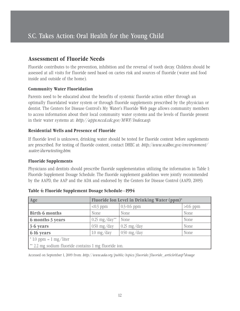### **Assessment of Fluoride Needs**

Fluoride contributes to the prevention, inhibition and the reversal of tooth decay. Children should be assessed at all visits for fluoride need based on caries risk and sources of fluoride (water and food inside and outside of the home).

#### **Community Water Fluoridation**

Parents need to be educated about the benefits of systemic fluoride action either through an optimally fluoridated water system or through fluoride supplements prescribed by the physician or dentist. The Centers for Disease Control's My Water's Fluoride Web page allows community members to access information about their local community water systems and the levels of fluoride present in their water systems at: *http://apps.nccd.cdc.gov/MWF/Index.asp*.

#### **Residential Wells and Presence of Fluoride**

If fluoride level is unknown, drinking water should be tested for fluoride content before supplements are prescribed. For testing of fluoride content, contact DHEC at: *http://www.scdhec.gov/environment/ water/dwrwtesting.htm*.

#### **Fluoride Supplements**

Physicians and dentists should prescribe fluoride supplementation utilizing the information in Table 1: Fluoride Supplement Dosage Schedule. The fluoride supplement guidelines were jointly recommended by the AAPD, the AAP and the ADA and endorsed by the Centers for Disease Control (AAPD, 2009).

| Age                                                   | Fluoride Ion Level in Drinking Water (ppm)*          |                               |      |  |  |
|-------------------------------------------------------|------------------------------------------------------|-------------------------------|------|--|--|
|                                                       | $0.3 - 0.6$ ppm<br>$>0.6$ ppm<br>$< 0.3$ ppm         |                               |      |  |  |
| <b>Birth-6 months</b>                                 | None                                                 | None                          | None |  |  |
| 6 months-3 years                                      | $0.25 \text{ mg}/\text{day}^{**}$                    | None                          | None |  |  |
| 3-6 years                                             | $0.50 \text{ mg}/\text{day}$                         | $\frac{0.25 \text{ mg}}{day}$ | None |  |  |
| 6-16 years                                            | $0.50$ mg/day<br>$1.0 \text{ mg}/\text{day}$<br>None |                               |      |  |  |
| $* 1.0$ ppm = 1 mg/liter                              |                                                      |                               |      |  |  |
| ** 2.2 mg sodium fluoride contains 1 mg fluoride ion. |                                                      |                               |      |  |  |

|  |  |  |  | Table 4: Fluoride Supplement Dosage Schedule-1994 |
|--|--|--|--|---------------------------------------------------|
|--|--|--|--|---------------------------------------------------|

Accessed on September 1, 2009 from: *http://www.ada.org/public/topics/fluoride/fluoride\_article01.asp#dosage*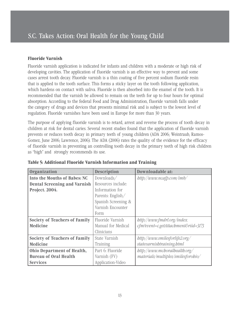#### **Fluoride Varnish**

Fluoride varnish application is indicated for infants and children with a moderate or high risk of developing cavities. The application of fluoride varnish is an effective way to prevent and some cases arrest tooth decay. Fluoride varnish is a thin coating of five percent sodium fluoride resin that is applied to the tooth surface. This forms a sticky layer on the tooth following application, which hardens on contact with saliva. Fluoride is then absorbed into the enamel of the tooth. It is recommended that the varnish be allowed to remain on the teeth for up to four hours for optimal absorption. According to the federal Food and Drug Administration, fluoride varnish falls under the category of drugs and devices that presents minimal risk and is subject to the lowest level of regulation. Fluoride varnishes have been used in Europe for more than 30 years.

The purpose of applying fluoride varnish is to retard, arrest and reverse the process of tooth decay in children at risk for dental caries. Several recent studies found that the application of fluoride varnish prevents or reduces tooth decay in primary teeth of young children (ADA 2006; Weintraub, Ramos-Gomez, June 2006; Lawrence, 2006). The ADA (2006) rates the quality of the evidence for the efficacy of fluoride varnish in preventing an controlling tooth decay in the primary teeth of high risk children as "high" and strongly recommends its use.

| Organization                         | <b>Description</b>  | Downloadable at:                          |
|--------------------------------------|---------------------|-------------------------------------------|
| <b>Into the Mouths of Babes: NC</b>  | Downloads/          | $\frac{b}{\mu}$ bttp://www.ncafp.com/imb/ |
| <b>Dental Screening and Varnish</b>  | Resources include:  |                                           |
| Project. 2004.                       | Information for     |                                           |
|                                      | Parents: English/   |                                           |
|                                      | Spanish Screening & |                                           |
|                                      | Varnish Encounter   |                                           |
|                                      | Form                |                                           |
| <b>Society of Teachers of Family</b> | Fluoride Varnish    | bttp://www.fmdrl.org/index.               |
| <b>Medicine</b>                      | Manual for Medical  | cfm?event=c.getAttachment&riid=3173       |
|                                      | Clinicians          |                                           |
| <b>Society of Teachers of Family</b> | State Varnish       | $\frac{http://www.smilesforlife2.org/}{$  |
| <b>Medicine</b>                      | Training            | statevarnishtraining.html                 |
| Ohio Department of Health,           | Part 6: Fluoride    | $\frac{http://www.mcboralbealtb.org/}{$   |
| <b>Bureau of Oral Health</b>         | Varnish (FV)        | materials/multiples/smilesforobio/        |
| <b>Services</b>                      | Application-Video   |                                           |

**Table 5: Additional Fluoride Varnish Information and Training**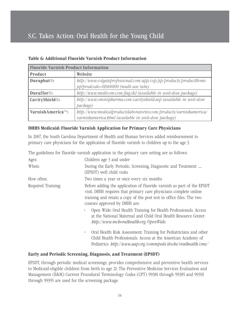| <b>Fluoride Varnish Product Information</b> |                                                                                                                             |  |  |
|---------------------------------------------|-----------------------------------------------------------------------------------------------------------------------------|--|--|
| <b>Product</b>                              | <b>Website</b>                                                                                                              |  |  |
| Duraphat <sup>®</sup> :                     | http://www.colgateprofessional.com/app/cop/jsp/products/productHome.<br>jsp?prodcode=011400100 (multi-use tube)             |  |  |
| Duraflor <sup>®</sup> :                     | http://www.medicom.com/faq.ch2 (available in unit-dose package)                                                             |  |  |
| CavityShield®:                              | http://www.omniipharma.com/cavityshield.asp (available in unit-dose<br>package)                                             |  |  |
| VarnishAmerica™:                            | http://www.medicalproductslaboratories.com/products/varnishamerica/<br>varnisbamerica.html (available in unit-dose package) |  |  |

#### **Table 6: Additional Fluoride Varnish Product Information**

#### **DHHS Medicaid: Fluoride Varnish Application for Primary Care Physicians**

In 2007, the South Carolina Department of Health and Human Services added reimbursement to primary care physicians for the application of fluoride varnish to children up to the age 3.

The guidelines for fluoride varnish application in the primary care setting are as follows:

| Ages:              | Children age 3 and under                                                                                                                                                                                                                                                                                                                                                                                                              |
|--------------------|---------------------------------------------------------------------------------------------------------------------------------------------------------------------------------------------------------------------------------------------------------------------------------------------------------------------------------------------------------------------------------------------------------------------------------------|
| When:              | During the Early Periodic, Screening, Diagnostic and Treatment<br>(EPSDT) well child visits                                                                                                                                                                                                                                                                                                                                           |
| How often:         | Two times a year or once every six months                                                                                                                                                                                                                                                                                                                                                                                             |
| Required Training: | Before adding the application of fluoride varnish as part of the EPSDT<br>visit, DHHS requires that primary care physicians complete online<br>training and retain a copy of the post test in office files. The two<br>courses approved by DHHS are:<br>Open Wide: Oral Health Training for Health Professionals. Access<br>at the National Maternal and Child Oral Health Resource Center.<br>http://www.mchoralhealth.org/OpenWide. |
|                    | Oral Health Risk Assessment: Training for Pediatricians and other<br>٠<br>Child Health Professionals. Access at the American Academy of<br>Pediatrics: http://www.aap.org/commpeds/dochs/oralhealth/cme/                                                                                                                                                                                                                              |

#### **Early and Periodic Screening, Diagnosis, and Treatment (EPSDT)**

EPSDT, through periodic medical screenings, provides comprehensive and preventive health services to Medicaid-eligible children from birth to age 21. The Preventive Medicine Services Evaluation and Management (E&M) Current Procedural Terminology Codes (CPT) 99381 through 99385 and 99391 through 99395 are used for the screening package.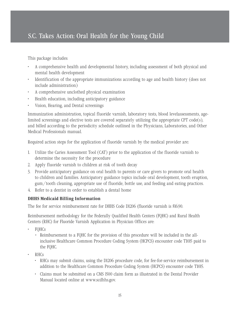This package includes:

- A comprehensive health and developmental history, including assessment of both physical and mental health development
- Identification of the appropriate immunizations according to age and health history (does not include administration)
- A comprehensive unclothed physical examination
- Health education, including anticipatory guidance
- Vision, Hearing, and Dental screenings

Immunization administration, topical fluoride varnish, laboratory tests, blood levelassessments, agelimited screenings and elective tests are covered separately utilizing the appropriate CPT code(s), and billed according to the periodicity schedule outlined in the Physicians, Laboratories, and Other Medical Professionals manual.

Required action steps for the application of fluoride varnish by the medical provider are:

- 1. Utilize the Caries Assessment Tool (CAT) prior to the application of the fluoride varnish to determine the necessity for the procedure
- 2. Apply fluoride varnish to children at risk of tooth decay
- 3. Provide anticipatory guidance on oral health to parents or care givers to promote oral health to children and families. Anticipatory guidance topics include oral development, tooth eruption, gum/tooth cleaning, appropriate use of fluoride, bottle use, and feeding and eating practices.
- 4. Refer to a dentist in order to establish a dental home

#### **DHHS Medicaid Billing Information**

The fee for service reimbursement rate for DHHS Code D1206 (fluoride varnish is \$16.90.

Reimbursement methodology for the Federally Qualified Health Centers (FQHC) and Rural Health Centers (RHC) for Fluoride Varnish Application in Physician Offices are:

- FQHCs
	- Reimbursement to a FQHC for the provision of this procedure will be included in the allinclusive Healthcare Common Procedure Coding System (HCPCS) encounter code T1015 paid to the FQHC.
- RHCs
	- RHCs may submit claims, using the D1206 procedure code, for fee-for-service reimbursement in addition to the Healthcare Common Procedure Coding System (HCPCS) encounter code T1015.
	- Claims must be submitted on a CMS 1500 claim form as illustrated in the Dental Provider Manual located online at www.scdhhs.gov.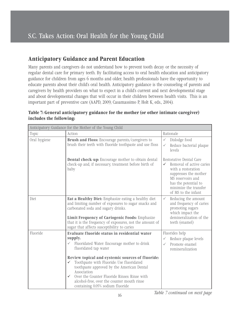### **Anticipatory Guidance and Parent Education**

Many parents and caregivers do not understand how to prevent tooth decay or the necessity of regular dental care for primary teeth. By facilitating access to oral health education and anticipatory guidance for children from ages 6 months and older, health professionals have the opportunity to educate parents about their child's oral health. Anticipatory guidance is the counseling of parents and caregivers by health providers on what to expect in a child's current and next developmental stage and about developmental changes that will occur in their children between health visits. This is an important part of preventive care (AAPD, 2009; Casamassimo P, Holt K, eds., 2004).

| Anticipatory Guidance for the Mother of the Young Child |                                                                                                                                                                                                                                                                                                                                                                                                                                                                        |                                                                                                                                                                                                      |  |  |
|---------------------------------------------------------|------------------------------------------------------------------------------------------------------------------------------------------------------------------------------------------------------------------------------------------------------------------------------------------------------------------------------------------------------------------------------------------------------------------------------------------------------------------------|------------------------------------------------------------------------------------------------------------------------------------------------------------------------------------------------------|--|--|
| Topic                                                   | Action                                                                                                                                                                                                                                                                                                                                                                                                                                                                 | Rationale                                                                                                                                                                                            |  |  |
| Oral hygiene                                            | <b>Brush and Floss:</b> Encourage parents/caregivers to<br>brush their teeth with fluoride toothpaste and use floss                                                                                                                                                                                                                                                                                                                                                    | Dislodge food<br>$\checkmark$<br>Reduce bacterial plaque<br>$\checkmark$<br>levels                                                                                                                   |  |  |
|                                                         | <b>Dental check-up:</b> Encourage mother to obtain dental<br>check-up and, if necessary, treatment before birth of<br>baby                                                                                                                                                                                                                                                                                                                                             | Restorative Dental Care<br>Removal of active caries<br>✓<br>with a restoration<br>suppresses the mother<br>MS reservoirs and<br>has the potential to<br>minimize the transfer<br>of MS to the infant |  |  |
| Diet                                                    | Eat a Healthy Diet: Emphasize eating a healthy diet<br>and limiting number of exposures to sugar snacks and<br>carbonated soda and sugary drinks.<br><b>Limit Frequency of Cariogenic Foods: Emphasize</b><br>that it is the frequency of exposures, not the amount of<br>sugar that affects susceptibility to caries                                                                                                                                                  | Reducing the amount<br>$\checkmark$<br>and frequency of caries<br>promoting sugars<br>which impact the<br>demineralization of the<br>teeth (enamel)                                                  |  |  |
| Fluoride                                                | Evaluate fluoride status in residential water<br>supply.<br>Fluoridated Water: Encourage mother to drink<br>$\checkmark$<br>fluoridated tap water<br>Review topical and systemic sources of fluoride:<br>Toothpaste with Fluoride: Use fluoridated<br>✓<br>toothpaste approved by the American Dental<br>Association<br>Over the Counter Fluoride Rinses: Rinse with<br>$\checkmark$<br>alcohol-free, over the counter mouth rinse<br>containing 0.05% sodium fluoride | Fluorides help<br>Reduce plaque levels<br>$\checkmark$<br>Promote enamel<br>✓<br>remineralization                                                                                                    |  |  |

#### **Table 7: General anticipatory guidance for the mother (or other intimate caregiver) includes the following:**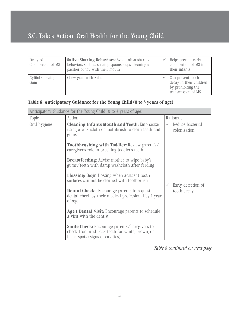| Delay of<br>Colonization of MS | Saliva Sharing Behaviors: Avoid saliva sharing<br>behaviors such as sharing spoons, cups, cleaning a<br>pacifier or toy with their mouth | Helps prevent early<br>colonization of MS in<br>their infants                            |
|--------------------------------|------------------------------------------------------------------------------------------------------------------------------------------|------------------------------------------------------------------------------------------|
| Xylitol Chewing<br>Gum         | Chew gum with zylitol                                                                                                                    | Can prevent tooth<br>decay in their children<br>by prohibiting the<br>transmission of MS |

#### **Table 8: Anticipatory Guidance for the Young Child (0 to 3 years of age)**

| Anticipatory Guidance for the Young Child (0 to 3 years of age) |                                                                                                                                           |  |                                  |  |
|-----------------------------------------------------------------|-------------------------------------------------------------------------------------------------------------------------------------------|--|----------------------------------|--|
| Topic                                                           | Action                                                                                                                                    |  | Rationale                        |  |
| Oral hygiene                                                    | <b>Cleaning Infants Mouth and Teeth: Emphasize</b><br>using a washcloth or toothbrush to clean teeth and<br>gums                          |  | Reduce bacterial<br>colonization |  |
|                                                                 | <b>Toothbrushing with Toddler:</b> Review parent's/<br>caregiver's role in brushing toddler's teeth.                                      |  |                                  |  |
|                                                                 | <b>Breastfeeding:</b> Advise mother to wipe baby's<br>gums/teeth with damp washcloth after feeding                                        |  |                                  |  |
|                                                                 | <b>Flossing:</b> Begin flossing when adjacent tooth<br>surfaces can not be cleaned with toothbrush                                        |  | Early detection of               |  |
|                                                                 | <b>Dental Check:</b> Encourage parents to request a<br>dental check by their medical professional by 1 year<br>of age.                    |  | tooth decay                      |  |
|                                                                 | Age 1 Dental Visit: Encourage parents to schedule<br>a visit with the dentist.                                                            |  |                                  |  |
|                                                                 | <b>Smile Check:</b> Encourage parents/caregivers to<br>check front and back teeth for white, brown, or<br>black spots (signs of cavities) |  |                                  |  |

*Table 8 continued on next page*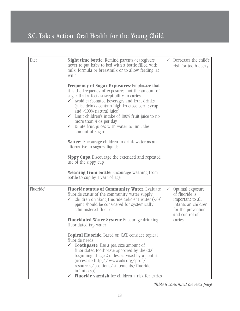| Diet      | <b>Night time bottle:</b> Remind parents/caregivers<br>never to put baby to bed with a bottle filled with<br>milk, formula or breastmilk or to allow feeding 'at<br>will.'<br><b>Frequency of Sugar Exposures:</b> Emphasize that<br>it is the frequency of exposures, not the amount of<br>sugar that affects susceptibility to caries.                                                                     | $\checkmark$ | Decreases the child's<br>risk for tooth decay                                                                                   |
|-----------|--------------------------------------------------------------------------------------------------------------------------------------------------------------------------------------------------------------------------------------------------------------------------------------------------------------------------------------------------------------------------------------------------------------|--------------|---------------------------------------------------------------------------------------------------------------------------------|
|           | $\checkmark$ Avoid carbonated beverages and fruit drinks<br>(juice drinks contain high-fructose corn syrup<br>and $\langle 100\%$ natural juice)<br>$\checkmark$ Limit children's intake of 100% fruit juice to no<br>more than 4 oz per day<br>$\checkmark$ Dilute fruit juices with water to limit the<br>amount of sugar                                                                                  |              |                                                                                                                                 |
|           | Water: Encourage children to drink water as an<br>alternative to sugary liquids                                                                                                                                                                                                                                                                                                                              |              |                                                                                                                                 |
|           | <b>Sippy Cups:</b> Discourage the extended and repeated<br>use of the sippy cup                                                                                                                                                                                                                                                                                                                              |              |                                                                                                                                 |
|           | <b>Weaning from bottle:</b> Encourage weaning from<br>bottle to cup by 1 year of age                                                                                                                                                                                                                                                                                                                         |              |                                                                                                                                 |
| Fluoride* | <b>Fluoride status of Community Water: Evaluate</b><br>fluoride status of the community water supply<br>Children drinking fluoride deficient water $\left(<0.6\right)$<br>$\checkmark$<br>ppm) should be considered for systemically<br>administered fluoride<br><b>Fluoridated Water System: Encourage drinking</b><br>fluoridated tap water                                                                | $\checkmark$ | Optimal exposure<br>of fluoride is<br>important to all<br>infants an children<br>for the prevention<br>and control of<br>caries |
|           | <b>Topical Fluoride:</b> Based on CAT, consider topical<br>fluoride needs<br><b>Toothpaste</b> , Use a pea size amount of<br>$\checkmark$<br>fluoridated toothpaste approved by the CDC<br>beginning at age 2 unless advised by a dentist<br>(access at: http://www.ada.org/prof/<br>resources/positions/statements/fluoride_<br>infants.asp)<br><b>Fluoride varnish</b> for children a risk for caries<br>✓ |              |                                                                                                                                 |

*Table 8 continued on next page*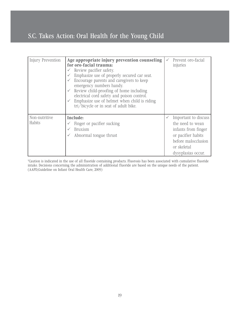| <b>Injury Prevention</b> | Age appropriate injury prevention counseling<br>for oro-facial trauma:<br>Review pacifier safety.<br>Emphasize use of properly secured car seat.<br>Encourage parents and caregivers to keep<br>emergency numbers handy.<br>Review child-proofing of home including<br>electrical cord safety and poison control.<br>Emphasize use of helmet when child is riding<br>tri/bicycle or in seat of adult bike. |              | Prevent oro-facial<br>injuries                                                                                                                    |
|--------------------------|------------------------------------------------------------------------------------------------------------------------------------------------------------------------------------------------------------------------------------------------------------------------------------------------------------------------------------------------------------------------------------------------------------|--------------|---------------------------------------------------------------------------------------------------------------------------------------------------|
| Non-nutritive<br>Habits  | <b>Include:</b><br>Finger or pacifier sucking<br><b>Bruxism</b><br>Abnormal tongue thrust                                                                                                                                                                                                                                                                                                                  | $\checkmark$ | Important to discuss<br>the need to wean<br>infants from finger<br>or pacifier habits<br>before malocclusion<br>or skeletal<br>dysyplasias occur. |

\*Caution is indicated in the use of all fluoride containing products. Fluorosis has been associated with cumulative fluoride intake. Decisions concerning the administration of additional fluoride are based on the unique needs of the patient. (AAPD,Guideline on Infant Oral Health Care, 2009)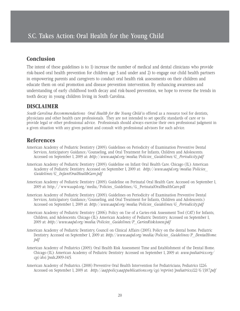### **Conclusion**

The intent of these guidelines is to: 1) increase the number of medical and dental clinicians who provide risk-based oral health prevention for children age 3 and under and 2) to engage our child health partners in empowering parents and caregivers to conduct oral health risk assessments on their children and educate them on oral promotion and disease prevention intervention. By enhancing awareness and understanding of early childhood tooth decay and risk-based prevention, we hope to reverse the trends in tooth decay in young children living in South Carolina.

### **DISCLAIMER**

*South Carolina Recommendations: Oral Health for the Young Child* is offered as a resource tool for dentists, physicians and other health care professionals. They are not intended to set specific standards of care or to provide legal or other professional advice. Professionals should always exercise their own professional judgment in a given situation with any given patient and consult with professional advisors for such advice.

### **References**

- American Academy of Pediatric Dentistry (2009). Guidelines on Periodicity of Examination Preventive Dental Services, Anticipatory Guidance/Counseling, and Oral Treatment for Infants, Children and Adolescents. Accessed on September 1, 2009 at: *http://www.aapd.org/media/Policies\_Guidelines/G\_Periodicity.pdf*
- American Academy of Pediatric Dentistry (2009). Guideline on Infant Oral Health Care. Chicago (IL): American Academy of Pediatric Dentistry. Accessed on September 1, 2009 at: *http://www.aapd.org/media/Policies\_ Guidelines/G\_InfantOralHealthCare.pdf*
- American Academy of Pediatric Dentistry (2009). Guideline on Perinatal Oral Health Care. Accessed on September 1, 2009 at: http://www.aapd.org/media/Policies\_Guidelines/G\_PerinatalOralHealthCare.pdf
- American Academy of Pediatric Dentistry. (2009). Guidelines on Periodicity of Examination Preventive Dental Services, Anticipatory Guidance/Counseling, and Oral Treatment for Infants, Children and Adolescents.) Accessed on September 1, 2009 at: *http://www.aapd.org/media/Policies\_Guidelines/G\_Periodicity.pdf*
- American Academy of Pediatric Dentistry (2006). Policy on Use of a Caries-risk Assessment Tool (CAT) for Infants, Children, and Adolescents. Chicago (IL): American Academy of Pediatric Dentistry. Accessed on September 1, 2009 at: *http://www.aapd.org/media/Policies\_Guidelines/P\_CariesRiskAssess.pdf*
- American Academy of Pediatric Dentistry, Council on Clinical Affairs (2005). Policy on the dental home. Pediatric Dentistry. Accessed on September 1, 2009 at: *http://www.aapd.org/media/Policies\_Guidelines/P\_DentalHome. pdf*
- American Academy of Pediatrics (2009). Oral Health Risk Assessment Time and Establishment of the Dental Home. Chicago (IL): American Academy of Pediatric Dentistry Accessed on September 1, 2009 at: *www.pediatrics.org/ cgi/doi/peds.2009-1415*.
- American Academy of Pediatrics. (2008) Preventive Oral Health Intervention for Pediatricians, Pediatrics 122:6. Accessed on September 1, 2009 at: *http://aappolicy.aappublications.org/cgi/reprint/pediatrics;122/6/1387.pdf*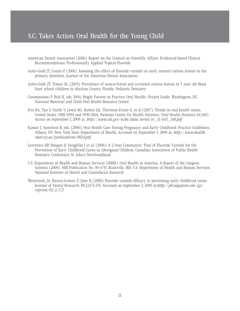- American Dental Association (2006). Report on the Council on Scientific Affairs. Evidenced-based Clinical Recommendations: Professionally Applied Topical Fluoride.
- Autio-Gold JT, Courts F. (2001). Assessing the effect of fluoride varnish on early enamel carious lesions in the primary dentition. Journal of the American Dental Association.
- Autio-Gold, JT, Tomar SL. (2005). Prevalence of noncavitated and cavitated carious lesions in 5 year old Head Start school children in Alachua County, Florida. Pediatric Dentistry
- Casamassimo P, Holt K, eds. 2004. Bright Futures in Practice: Oral Health—Pocket Guide. Washington, DC: National Maternal and Child Oral Health Resource Center.
- Dye BA, Tan S, Smith V, Lewis BG, Barker LK, Thornton-Evans G, et al (2007). Trends in oral health status, United States, 1988–1994 and 1999-2004. National Center for Health Statistics. Vital Health Statistics 11(248). Access on September 1, 2009 at: *http://www.cdc.gov/nchs/data/series/sr\_11/sr11\_248.pdf*
- Kumar J, Samelson R, eds. (2006). Oral Health Care During Pregnancy and Early Childhood: Practice Guidelines. Albany, NY: New York State Department of Health. Accessed on September 1, 2009 at: *http://www.health. state.ny.us/publications/0824.pdf*
- Lawrence HP, Binquis D, Doughlas J et al. (2006). A 2-Year Community Trial of Fluoride Varnish for the Prevention of Early Childhood Caries in Aboriginal Children, Canadian Association of Public Health Dentistry Conference, St. John's Newfoundland.
- U.S. Department of Health and Human Services (DHHS). Oral Health in America: A Report of the Surgeon General. (2000). NIH Publication No. 00-4713, Rockville, MD: U.S. Department of Health and Human Services, National Institute of Dental and Craniofacial Research
- Weintraub, JA, Ramos-Gomez, F, June B. (2006) Fluoride varnish efficacy in preventing early childhood caries. Journal of Dental Research; 85(2):172-176. Accessed on September 2, 2009 at:*http://jdr.sagepub.com/cgi/ reprint/85/2/172*